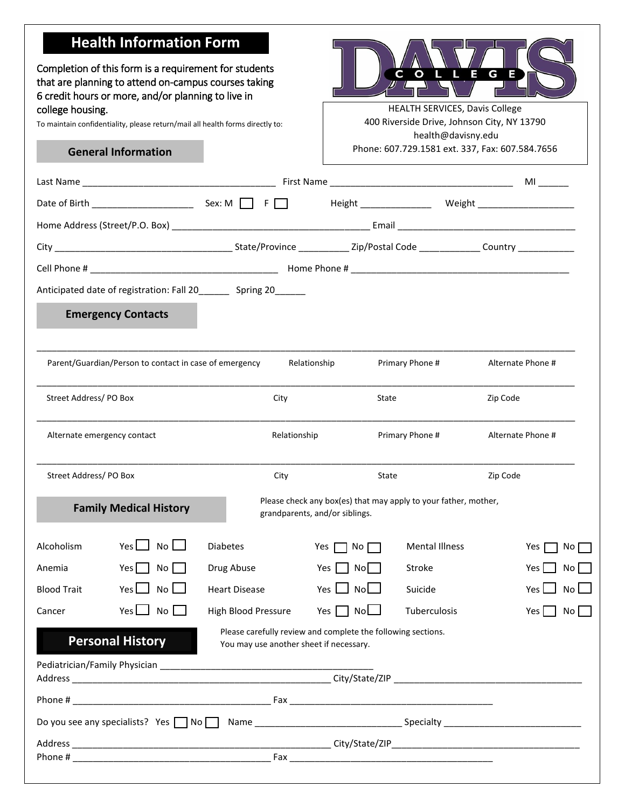# **Health Information Form**

Completion of this form is a requirement for students that are planning to attend on-campus courses taking 6 credit hours or more, and/or planning to live in college housing. The college housing.

To maintain confidentiality, please return/mail all health forms directly to:

#### **General Information**



400 Riverside Drive, Johnson City, NY 13790 health@davisny.edu Phone: 607.729.1581 ext. 337, Fax: 607.584.7656

|                       |                                                        |                                                                   |                                                                                                   |                       | MI and the set of the set of the set of the set of the set of the set of the set of the set of the set of the |
|-----------------------|--------------------------------------------------------|-------------------------------------------------------------------|---------------------------------------------------------------------------------------------------|-----------------------|---------------------------------------------------------------------------------------------------------------|
|                       |                                                        |                                                                   |                                                                                                   |                       | Height Weight Neight                                                                                          |
|                       |                                                        |                                                                   |                                                                                                   |                       |                                                                                                               |
|                       |                                                        |                                                                   |                                                                                                   |                       |                                                                                                               |
|                       |                                                        |                                                                   |                                                                                                   |                       |                                                                                                               |
|                       |                                                        | Anticipated date of registration: Fall 20________ Spring 20______ |                                                                                                   |                       |                                                                                                               |
|                       | <b>Emergency Contacts</b>                              |                                                                   |                                                                                                   |                       |                                                                                                               |
|                       | Parent/Guardian/Person to contact in case of emergency |                                                                   | Relationship                                                                                      | Primary Phone #       | Alternate Phone #                                                                                             |
| Street Address/PO Box |                                                        | City                                                              | State                                                                                             |                       | Zip Code                                                                                                      |
|                       | Alternate emergency contact                            | Relationship                                                      |                                                                                                   | Primary Phone #       | Alternate Phone #                                                                                             |
| Street Address/PO Box |                                                        | City                                                              | State                                                                                             |                       | Zip Code                                                                                                      |
|                       | <b>Family Medical History</b>                          |                                                                   | Please check any box(es) that may apply to your father, mother,<br>grandparents, and/or siblings. |                       |                                                                                                               |
| Alcoholism            | $No$ $\Box$<br>Yes $\Box$                              | <b>Diabetes</b>                                                   | Yes<br>No I                                                                                       | <b>Mental Illness</b> | No.<br>Yes                                                                                                    |
| Anemia                | Yes I<br>No                                            | Drug Abuse                                                        | Yes<br>Nol                                                                                        | Stroke                | No l<br>Yes                                                                                                   |
| <b>Blood Trait</b>    | $No$ $\Box$<br>Yes l                                   | <b>Heart Disease</b>                                              | NoL.<br>Yes l                                                                                     | Suicide               | Yes<br>No l                                                                                                   |
| Cancer                | Yes L<br>No I                                          | High Blood Pressure                                               | Yes    <br>No                                                                                     | Tuberculosis          | Yes<br>No l                                                                                                   |
|                       | <b>Personal History</b>                                | You may use another sheet if necessary.                           | Please carefully review and complete the following sections.                                      |                       |                                                                                                               |
|                       |                                                        |                                                                   |                                                                                                   |                       |                                                                                                               |
|                       |                                                        |                                                                   |                                                                                                   |                       |                                                                                                               |
|                       |                                                        |                                                                   |                                                                                                   |                       |                                                                                                               |
|                       |                                                        |                                                                   |                                                                                                   |                       |                                                                                                               |
|                       |                                                        |                                                                   |                                                                                                   |                       |                                                                                                               |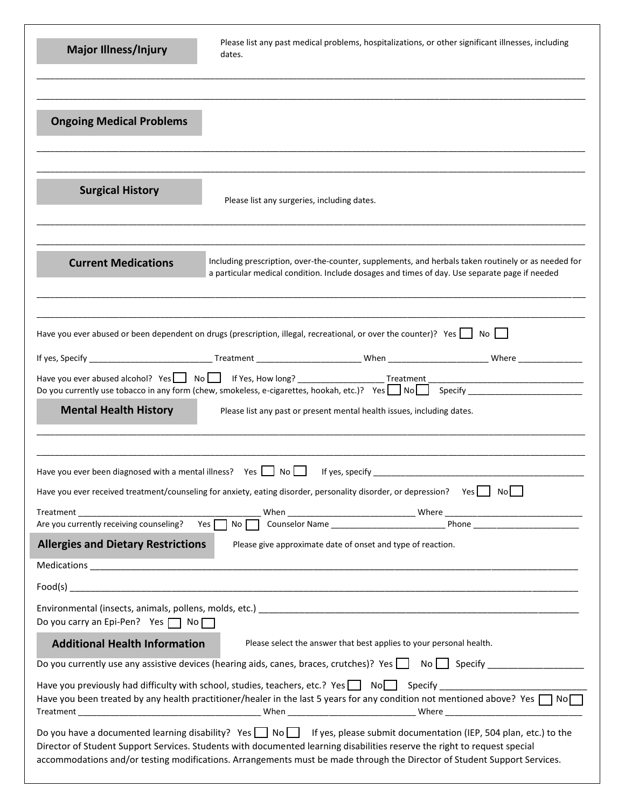| Please list any past medical problems, hospitalizations, or other significant illnesses, including<br><b>Major Illness/Injury</b><br>dates.                                                                                                                                                                                                                                                                                                                                                                                                                                                                                                                                                                                                                              |
|--------------------------------------------------------------------------------------------------------------------------------------------------------------------------------------------------------------------------------------------------------------------------------------------------------------------------------------------------------------------------------------------------------------------------------------------------------------------------------------------------------------------------------------------------------------------------------------------------------------------------------------------------------------------------------------------------------------------------------------------------------------------------|
| <b>Ongoing Medical Problems</b>                                                                                                                                                                                                                                                                                                                                                                                                                                                                                                                                                                                                                                                                                                                                          |
| <b>Surgical History</b><br>Please list any surgeries, including dates.                                                                                                                                                                                                                                                                                                                                                                                                                                                                                                                                                                                                                                                                                                   |
| Including prescription, over-the-counter, supplements, and herbals taken routinely or as needed for<br><b>Current Medications</b><br>a particular medical condition. Include dosages and times of day. Use separate page if needed                                                                                                                                                                                                                                                                                                                                                                                                                                                                                                                                       |
| Have you ever abused or been dependent on drugs (prescription, illegal, recreational, or over the counter)? Yes $\Box$ No $\Box$<br>Have you ever abused alcohol? Yes   No   If Yes, How long? _______________________Treatment ________<br>Do you currently use tobacco in any form (chew, smokeless, e-cigarettes, hookah, etc.)? Yes $\Box$ No $\Box$ Specify _________<br><b>Mental Health History</b><br>Please list any past or present mental health issues, including dates.                                                                                                                                                                                                                                                                                     |
| Have you ever been diagnosed with a mental illness? Yes $\Box$ No $\Box$<br>If yes, specify<br>Have you ever received treatment/counseling for anxiety, eating disorder, personality disorder, or depression? Yes $\Box$ No $\Box$<br><b>Allergies and Dietary Restrictions</b><br>Please give approximate date of onset and type of reaction.                                                                                                                                                                                                                                                                                                                                                                                                                           |
| Do you carry an Epi-Pen? Yes $\Box$ No $\Box$                                                                                                                                                                                                                                                                                                                                                                                                                                                                                                                                                                                                                                                                                                                            |
| Please select the answer that best applies to your personal health.<br><b>Additional Health Information</b><br>Have you previously had difficulty with school, studies, teachers, etc.? Yes NoW Specify _____________________<br>Have you been treated by any health practitioner/healer in the last 5 years for any condition not mentioned above? Yes $\Box$ No $\Box$<br>Do you have a documented learning disability? Yes $\Box$ No $\Box$ If yes, please submit documentation (IEP, 504 plan, etc.) to the<br>Director of Student Support Services. Students with documented learning disabilities reserve the right to request special<br>accommodations and/or testing modifications. Arrangements must be made through the Director of Student Support Services. |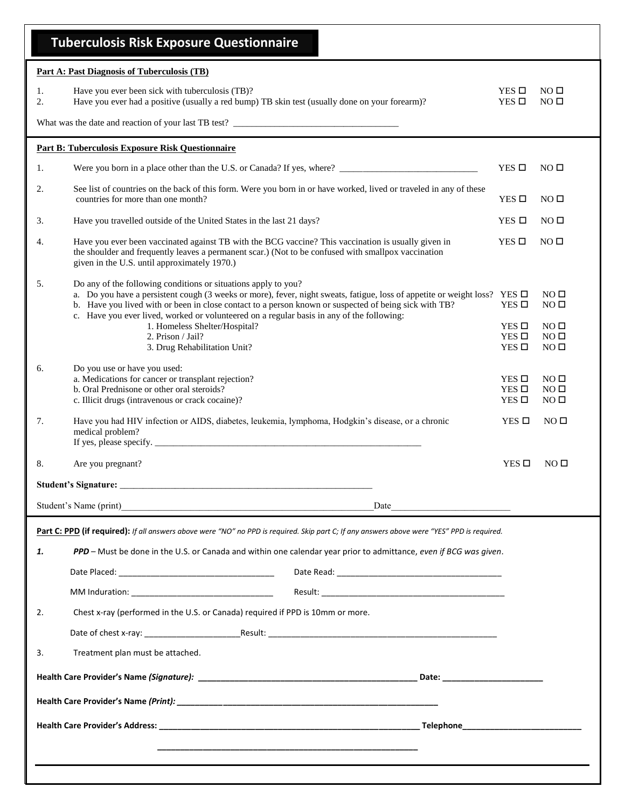|          | <b>Tuberculosis Risk Exposure Questionnaire</b>                                                                                                                                                                                                                                                                                                                                                                                                                                              |                                                                     |                                                                                             |
|----------|----------------------------------------------------------------------------------------------------------------------------------------------------------------------------------------------------------------------------------------------------------------------------------------------------------------------------------------------------------------------------------------------------------------------------------------------------------------------------------------------|---------------------------------------------------------------------|---------------------------------------------------------------------------------------------|
|          | <b>Part A: Past Diagnosis of Tuberculosis (TB)</b>                                                                                                                                                                                                                                                                                                                                                                                                                                           |                                                                     |                                                                                             |
| 1.<br>2. | Have you ever been sick with tuberculosis (TB)?<br>Have you ever had a positive (usually a red bump) TB skin test (usually done on your forearm)?                                                                                                                                                                                                                                                                                                                                            | $YES$ $\square$<br>$YES$ $\square$                                  | NO <sub>0</sub><br>NO <sub>0</sub>                                                          |
|          |                                                                                                                                                                                                                                                                                                                                                                                                                                                                                              |                                                                     |                                                                                             |
|          | <b>Part B: Tuberculosis Exposure Risk Questionnaire</b>                                                                                                                                                                                                                                                                                                                                                                                                                                      |                                                                     |                                                                                             |
| 1.       |                                                                                                                                                                                                                                                                                                                                                                                                                                                                                              | $YES$ $\square$                                                     | NO <sub>II</sub>                                                                            |
| 2.       | See list of countries on the back of this form. Were you born in or have worked, lived or traveled in any of these<br>countries for more than one month?                                                                                                                                                                                                                                                                                                                                     | YES $\square$                                                       | NO <sub>0</sub>                                                                             |
| 3.       | Have you travelled outside of the United States in the last 21 days?                                                                                                                                                                                                                                                                                                                                                                                                                         | $YES$ $\square$                                                     | NO <sub>0</sub>                                                                             |
| 4.       | Have you ever been vaccinated against TB with the BCG vaccine? This vaccination is usually given in<br>the shoulder and frequently leaves a permanent scar.) (Not to be confused with smallpox vaccination<br>given in the U.S. until approximately 1970.)                                                                                                                                                                                                                                   | $YES$ $\square$                                                     | NO <sub>0</sub>                                                                             |
| 5.       | Do any of the following conditions or situations apply to you?<br>a. Do you have a persistent cough (3 weeks or more), fever, night sweats, fatigue, loss of appetite or weight loss? YES $\Box$<br>b. Have you lived with or been in close contact to a person known or suspected of being sick with TB?<br>c. Have you ever lived, worked or volunteered on a regular basis in any of the following:<br>1. Homeless Shelter/Hospital?<br>2. Prison / Jail?<br>3. Drug Rehabilitation Unit? | $YES$ $\square$<br>$YES$ $\square$<br>YES $\Box$<br>$YES$ $\square$ | NO <sub>0</sub><br>NO <sub>0</sub><br>NO <sub>0</sub><br>NO <sub>0</sub><br>NO <sub>0</sub> |
| 6.       | Do you use or have you used:<br>a. Medications for cancer or transplant rejection?<br>b. Oral Prednisone or other oral steroids?<br>c. Illicit drugs (intravenous or crack cocaine)?                                                                                                                                                                                                                                                                                                         | $YES$ $\square$<br>YES $\square$<br>YES $\Box$                      | NO <sub>0</sub><br>NO <sub>0</sub><br>NO <sub>0</sub>                                       |
| 7.       | Have you had HIV infection or AIDS, diabetes, leukemia, lymphoma, Hodgkin's disease, or a chronic<br>medical problem?<br>If yes, please specify. $\frac{1}{2}$ is the set of the set of the set of the set of the set of the set of the set of the set of the set of the set of the set of the set of the set of the set of the set of the set of the set                                                                                                                                    | $YES$ $\square$                                                     | NO <sub>0</sub>                                                                             |
| 8.       | Are you pregnant?                                                                                                                                                                                                                                                                                                                                                                                                                                                                            | $YES$ $\square$                                                     | NO <sub>0</sub>                                                                             |
|          |                                                                                                                                                                                                                                                                                                                                                                                                                                                                                              |                                                                     |                                                                                             |
|          | Student's Name (print)<br>Date                                                                                                                                                                                                                                                                                                                                                                                                                                                               |                                                                     |                                                                                             |
|          | Part C: PPD (if required): If all answers above were "NO" no PPD is required. Skip part C; If any answers above were "YES" PPD is required.                                                                                                                                                                                                                                                                                                                                                  |                                                                     |                                                                                             |
| 1.       | PPD – Must be done in the U.S. or Canada and within one calendar year prior to admittance, even if BCG was given.                                                                                                                                                                                                                                                                                                                                                                            |                                                                     |                                                                                             |
|          |                                                                                                                                                                                                                                                                                                                                                                                                                                                                                              |                                                                     |                                                                                             |
|          |                                                                                                                                                                                                                                                                                                                                                                                                                                                                                              |                                                                     |                                                                                             |
| 2.       | Chest x-ray (performed in the U.S. or Canada) required if PPD is 10mm or more.                                                                                                                                                                                                                                                                                                                                                                                                               |                                                                     |                                                                                             |
|          |                                                                                                                                                                                                                                                                                                                                                                                                                                                                                              |                                                                     |                                                                                             |
| 3.       | Treatment plan must be attached.                                                                                                                                                                                                                                                                                                                                                                                                                                                             |                                                                     |                                                                                             |
|          |                                                                                                                                                                                                                                                                                                                                                                                                                                                                                              |                                                                     |                                                                                             |
|          |                                                                                                                                                                                                                                                                                                                                                                                                                                                                                              |                                                                     |                                                                                             |
|          |                                                                                                                                                                                                                                                                                                                                                                                                                                                                                              |                                                                     |                                                                                             |
|          |                                                                                                                                                                                                                                                                                                                                                                                                                                                                                              |                                                                     |                                                                                             |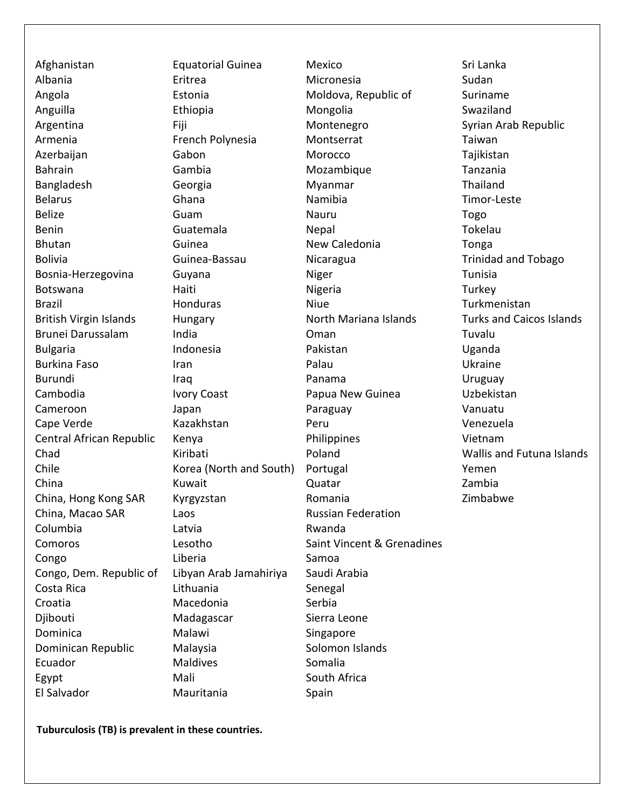Afghanistan Equatorial Guinea Mexico Sri Lanka Albania Eritrea Micronesia Sudan Angola **Estonia** Estonia Moldova, Republic of Suriname Anguilla Ethiopia Mongolia Swaziland Argentina Fiji Montenegro Syrian Arab Republic Armenia **French Polynesia** Montserrat Montserrat Taiwan Azerbaijan Gabon Morocco Tajikistan Bahrain Cambia Gambia Mozambique Tanzania Bangladesh Georgia Myanmar Thailand Belarus **Ghana** Ghana Namibia Timor-Leste Belize **Guam** Guam Nauru Nauru Togo Benin Cuatemala Nepal Nepal Tokelau Bhutan Cuinea New Caledonia Tonga Bolivia Guinea-Bassau Nicaragua Trinidad and Tobago Bosnia-Herzegovina Guyana Miger Niger Tunisia Botswana Haiti Nigeria Turkey Brazil **Example 20 Honduras** Niue Niue Turkmenistan British Virgin Islands Hungary North Mariana Islands Turks and Caicos Islands Brunei Darussalam India Oman Tuvalu Bulgaria **Indonesia** Pakistan Pakistan Uganda Burkina Faso Iran Palau Ukraine Burundi Iraq Panama Uruguay Cambodia **Ivory Coast** Papua New Guinea Uzbekistan Cameroon Japan Paraguay Vanuatu Cape Verde **Cape Verde** Kazakhstan **Negara Yenezuela** Central African Republic Kenya Philippines Vietnam Chad Kiribati Poland Wallis and Futuna Islands Chile **Korea** (North and South) Portugal **Korea** Yemen China Kuwait Quatar Zambia China, Hong Kong SAR Kyrgyzstan **Romania** Romania Zimbabwe China, Macao SAR Laos Russian Federation Columbia **Latvia** Latvia **Rwanda** Comoros Lesotho Saint Vincent & Grenadines Congo Congo Liberia Congo Samoa Congo, Dem. Republic of Libyan Arab Jamahiriya Saudi Arabia Costa Rica **Lithuania** Costa Rica Croatia Macedonia Serbia Djibouti Madagascar Sierra Leone Dominica Malawi Singapore Dominican Republic Malaysia Malaysia Solomon Islands Ecuador Maldives Somalia Egypt Mali Mali South Africa El Salvador Mauritania Spain

**Tuburculosis (TB) is prevalent in these countries.**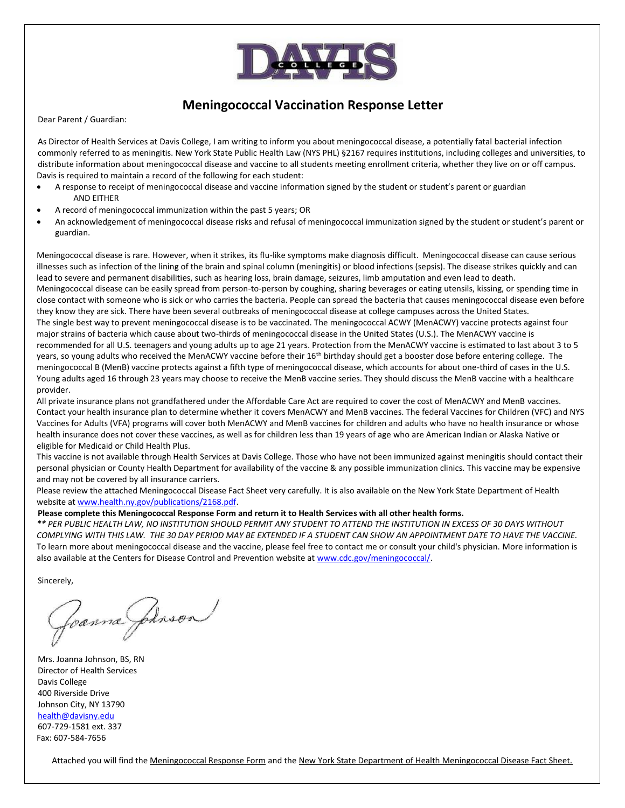

## **Meningococcal Vaccination Response Letter**

Dear Parent / Guardian:

As Director of Health Services at Davis College, I am writing to inform you about meningococcal disease, a potentially fatal bacterial infection commonly referred to as meningitis. New York State Public Health Law (NYS PHL) §2167 requires institutions, including colleges and universities, to distribute information about meningococcal disease and vaccine to all students meeting enrollment criteria, whether they live on or off campus. Davis is required to maintain a record of the following for each student:

- A response to receipt of meningococcal disease and vaccine information signed by the student or student's parent or guardian AND EITHER
- A record of meningococcal immunization within the past 5 years; OR
- An acknowledgement of meningococcal disease risks and refusal of meningococcal immunization signed by the student or student's parent or guardian.

Meningococcal disease is rare. However, when it strikes, its flu-like symptoms make diagnosis difficult. Meningococcal disease can cause serious illnesses such as infection of the lining of the brain and spinal column (meningitis) or blood infections (sepsis). The disease strikes quickly and can lead to severe and permanent disabilities, such as hearing loss, brain damage, seizures, limb amputation and even lead to death. Meningococcal disease can be easily spread from person-to-person by coughing, sharing beverages or eating utensils, kissing, or spending time in close contact with someone who is sick or who carries the bacteria. People can spread the bacteria that causes meningococcal disease even before

they know they are sick. There have been several outbreaks of meningococcal disease at college campuses across the United States. The single best way to prevent meningococcal disease is to be vaccinated. The meningococcal ACWY (MenACWY) vaccine protects against four major strains of bacteria which cause about two-thirds of meningococcal disease in the United States (U.S.). The MenACWY vaccine is recommended for all U.S. teenagers and young adults up to age 21 years. Protection from the MenACWY vaccine is estimated to last about 3 to 5 years, so young adults who received the MenACWY vaccine before their 16<sup>th</sup> birthday should get a booster dose before entering college. The meningococcal B (MenB) vaccine protects against a fifth type of meningococcal disease, which accounts for about one-third of cases in the U.S. Young adults aged 16 through 23 years may choose to receive the MenB vaccine series. They should discuss the MenB vaccine with a healthcare provider.

All private insurance plans not grandfathered under the Affordable Care Act are required to cover the cost of MenACWY and MenB vaccines. Contact your health insurance plan to determine whether it covers MenACWY and MenB vaccines. The federal Vaccines for Children (VFC) and NYS Vaccines for Adults (VFA) programs will cover both MenACWY and MenB vaccines for children and adults who have no health insurance or whose health insurance does not cover these vaccines, as well as for children less than 19 years of age who are American Indian or Alaska Native or eligible for Medicaid or Child Health Plus.

This vaccine is not available through Health Services at Davis College. Those who have not been immunized against meningitis should contact their personal physician or County Health Department for availability of the vaccine & any possible immunization clinics. This vaccine may be expensive and may not be covered by all insurance carriers.

Please review the attached Meningococcal Disease Fact Sheet very carefully. It is also available on the New York State Department of Health website at [www.health.ny.gov/publications/2168.pdf.](http://www.health.ny.gov/publications/2168.pdf) 

#### **Please complete this Meningococcal Response Form and return it to Health Services with all other health forms.**

*\*\* PER PUBLIC HEALTH LAW, NO INSTITUTION SHOULD PERMIT ANY STUDENT TO ATTEND THE INSTITUTION IN EXCESS OF 30 DAYS WITHOUT COMPLYING WITH THIS LAW. THE 30 DAY PERIOD MAY BE EXTENDED IF A STUDENT CAN SHOW AN APPOINTMENT DATE TO HAVE THE VACCINE.* To learn more about meningococcal disease and the vaccine, please feel free to contact me or consult your child's physician. More information is also available at the Centers for Disease Control and Prevention website at [www.cdc.gov/meningococcal/.](http://www.cdc.gov/meningococcal/)

Sincerely,

Foanna Johnson

Mrs. Joanna Johnson, BS, RN Director of Health Services Davis College 400 Riverside Drive Johnson City, NY 13790 [health@davisny.edu](mailto:health@davisny.edu)

607-729-1581 ext. 337 Fax: 607-584-7656

Attached you will find the Meningococcal Response Form and the New York State Department of Health Meningococcal Disease Fact Sheet.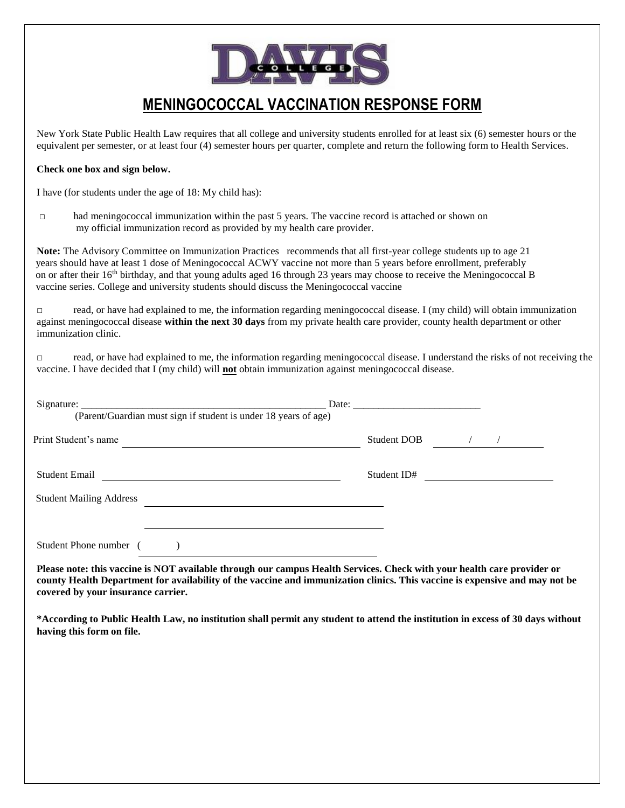

## **MENINGOCOCCAL VACCINATION RESPONSE FORM**

New York State Public Health Law requires that all college and university students enrolled for at least six (6) semester hours or the equivalent per semester, or at least four (4) semester hours per quarter, complete and return the following form to Health Services.

#### **Check one box and sign below.**

I have (for students under the age of 18: My child has):

□ had meningococcal immunization within the past 5 years. The vaccine record is attached or shown on my official immunization record as provided by my health care provider.

 **Note:** The Advisory Committee on Immunization Practices recommends that all first-year college students up to age 21 years should have at least 1 dose of Meningococcal ACWY vaccine not more than 5 years before enrollment, preferably on or after their 16<sup>th</sup> birthday, and that young adults aged 16 through 23 years may choose to receive the Meningococcal B vaccine series. College and university students should discuss the Meningococcal vaccine

 $\Box$  read, or have had explained to me, the information regarding meningococcal disease. I (my child) will obtain immunization against meningococcal disease **within the next 30 days** from my private health care provider, county health department or other immunization clinic.

□ read, or have had explained to me, the information regarding meningococcal disease. I understand the risks of not receiving the vaccine. I have decided that I (my child) will **not** obtain immunization against meningococcal disease.

| Print Student's name           |  | Student DOB / / |  |
|--------------------------------|--|-----------------|--|
| <b>Student Email</b>           |  | Student ID#     |  |
| <b>Student Mailing Address</b> |  |                 |  |

**Please note: this vaccine is NOT available through our campus Health Services. Check with your health care provider or county Health Department for availability of the vaccine and immunization clinics. This vaccine is expensive and may not be covered by your insurance carrier.**

**\*According to Public Health Law, no institution shall permit any student to attend the institution in excess of 30 days without having this form on file.**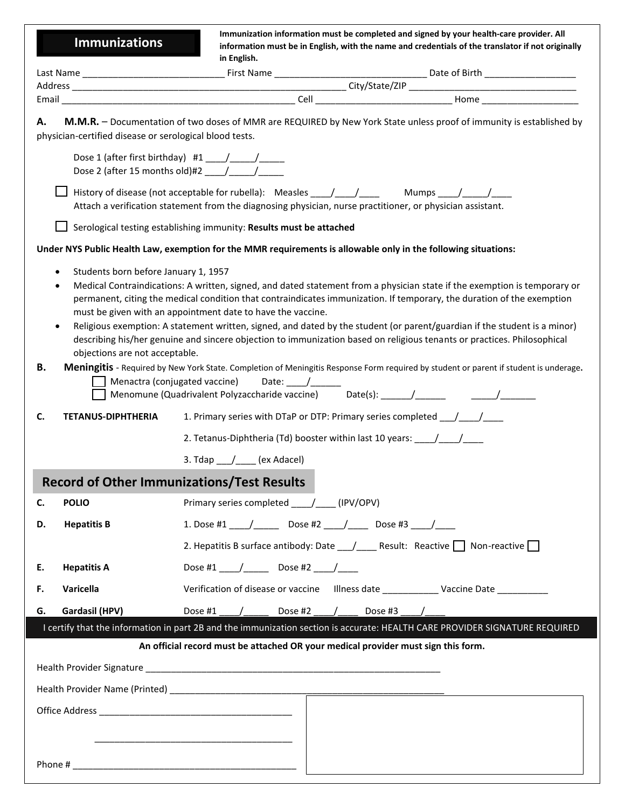**Immunizations**

**Immunization information must be completed and signed by your health-care provider. All information must be in English, with the name and credentials of the translator if not originally in English.** 

| Last Name<br>$-$   | First.<br><b>NI-</b> | Date                                 |
|--------------------|----------------------|--------------------------------------|
| Addres<br>________ |                      | $\sim$ $+$<br>ີ<br>____<br>_________ |
| Emai               | ۱۵۲<br>ᄓ             | Home                                 |

**A. M.M.R.** – Documentation of two doses of MMR are REQUIRED by New York State unless proof of immunity is established by physician-certified disease or serological blood tests.

|         | priysician-centrica disease or serological blood tests. |                                                                                                                                                                                                                                                                                                                     |
|---------|---------------------------------------------------------|---------------------------------------------------------------------------------------------------------------------------------------------------------------------------------------------------------------------------------------------------------------------------------------------------------------------|
|         |                                                         | Dose 1 (after first birthday) #1 $\frac{1}{\frac{1}{2}}$                                                                                                                                                                                                                                                            |
|         |                                                         | Attach a verification statement from the diagnosing physician, nurse practitioner, or physician assistant.                                                                                                                                                                                                          |
|         |                                                         | Serological testing establishing immunity: Results must be attached                                                                                                                                                                                                                                                 |
|         |                                                         | Under NYS Public Health Law, exemption for the MMR requirements is allowable only in the following situations:                                                                                                                                                                                                      |
|         | Students born before January 1, 1957<br>$\bullet$       | Medical Contraindications: A written, signed, and dated statement from a physician state if the exemption is temporary or<br>permanent, citing the medical condition that contraindicates immunization. If temporary, the duration of the exemption                                                                 |
|         | objections are not acceptable.                          | must be given with an appointment date to have the vaccine.<br>Religious exemption: A statement written, signed, and dated by the student (or parent/guardian if the student is a minor)<br>describing his/her genuine and sincere objection to immunization based on religious tenants or practices. Philosophical |
| В.      |                                                         | Meningitis - Required by New York State. Completion of Meningitis Response Form required by student or parent if student is underage.<br>Menactra (conjugated vaccine)                                                                                                                                              |
| C.      | <b>TETANUS-DIPHTHERIA</b>                               | 1. Primary series with DTaP or DTP: Primary series completed ___________________                                                                                                                                                                                                                                    |
|         |                                                         | 2. Tetanus-Diphtheria (Td) booster within last 10 years: _______________________                                                                                                                                                                                                                                    |
|         |                                                         | 3. $\text{Idap} \_\_\_\_\_\_\_\$ (ex Adacel)                                                                                                                                                                                                                                                                        |
|         |                                                         | <b>Record of Other Immunizations/Test Results</b>                                                                                                                                                                                                                                                                   |
| C.      | <b>POLIO</b>                                            | Primary series completed ____/___(IPV/OPV)                                                                                                                                                                                                                                                                          |
| D.      | <b>Hepatitis B</b>                                      | 1. Dose #1 _____/ ________ Dose #2 _____/ ______ Dose #3 ____/ _____                                                                                                                                                                                                                                                |
|         |                                                         | 2. Hepatitis B surface antibody: Date ___ /_____ Result: Reactive __ Non-reactive __                                                                                                                                                                                                                                |
| Е.      | <b>Hepatitis A</b>                                      | Dose #1 ____/_____________ Dose #2 _____/______                                                                                                                                                                                                                                                                     |
| F.      | Varicella                                               | Verification of disease or vaccine Illness date ________________ Vaccine Date _________                                                                                                                                                                                                                             |
| G.      | Gardasil (HPV)                                          | Dose #2<br>Dose #3<br>Dose #1                                                                                                                                                                                                                                                                                       |
|         |                                                         | I certify that the information in part 2B and the immunization section is accurate: HEALTH CARE PROVIDER SIGNATURE REQUIRED                                                                                                                                                                                         |
|         |                                                         | An official record must be attached OR your medical provider must sign this form.                                                                                                                                                                                                                                   |
|         |                                                         |                                                                                                                                                                                                                                                                                                                     |
|         |                                                         |                                                                                                                                                                                                                                                                                                                     |
|         |                                                         |                                                                                                                                                                                                                                                                                                                     |
| Phone # |                                                         |                                                                                                                                                                                                                                                                                                                     |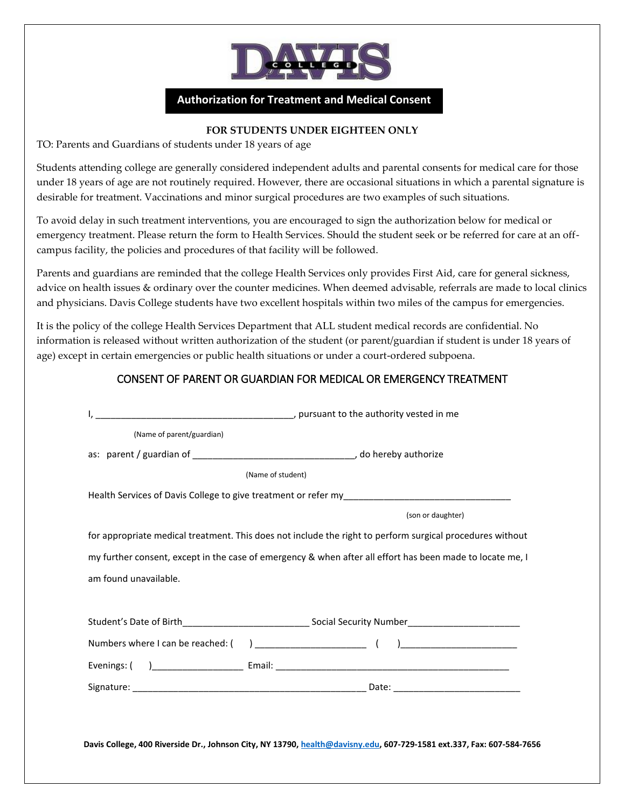

## **Authorization for Treatment and Medical Consent**

### **FOR STUDENTS UNDER EIGHTEEN ONLY**

TO: Parents and Guardians of students under 18 years of age

Students attending college are generally considered independent adults and parental consents for medical care for those under 18 years of age are not routinely required. However, there are occasional situations in which a parental signature is desirable for treatment. Vaccinations and minor surgical procedures are two examples of such situations.

To avoid delay in such treatment interventions, you are encouraged to sign the authorization below for medical or emergency treatment. Please return the form to Health Services. Should the student seek or be referred for care at an offcampus facility, the policies and procedures of that facility will be followed.

Parents and guardians are reminded that the college Health Services only provides First Aid, care for general sickness, advice on health issues & ordinary over the counter medicines. When deemed advisable, referrals are made to local clinics and physicians. Davis College students have two excellent hospitals within two miles of the campus for emergencies.

It is the policy of the college Health Services Department that ALL student medical records are confidential. No information is released without written authorization of the student (or parent/guardian if student is under 18 years of age) except in certain emergencies or public health situations or under a court-ordered subpoena.

## CONSENT OF PARENT OR GUARDIAN FOR MEDICAL OR EMERGENCY TREATMENT

| (Name of student) |                                                                                                            |
|-------------------|------------------------------------------------------------------------------------------------------------|
|                   |                                                                                                            |
|                   | (son or daughter)                                                                                          |
|                   | for appropriate medical treatment. This does not include the right to perform surgical procedures without  |
|                   | my further consent, except in the case of emergency & when after all effort has been made to locate me, I  |
|                   |                                                                                                            |
|                   |                                                                                                            |
|                   |                                                                                                            |
|                   | Student's Date of Birth__________________________________Social Security Number___________________________ |
|                   |                                                                                                            |
|                   |                                                                                                            |
|                   |                                                                                                            |
|                   |                                                                                                            |
|                   |                                                                                                            |
|                   |                                                                                                            |